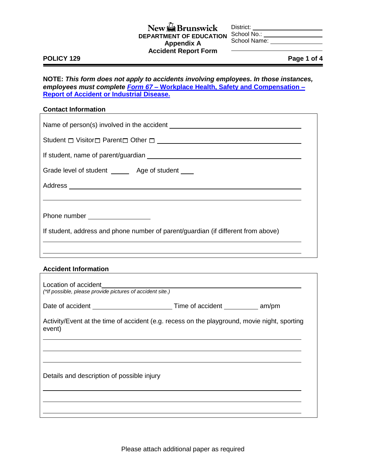### New **Brunswick DEPARTMENT OF EDUCATION**  School No.: **Appendix A Accident Report Form**

District:

School Name:

#### **POLICY 129 Page 1 of 4**

**NOTE:** *This form does not apply to accidents involving employees. In those instances, employees must complete Form 67* **– [Workplace Health, Safety and Compensation –](http://www.travailsecuritairenb.ca/docs/form67.pdf) [Report of Accident or Industrial Disease.](http://www.travailsecuritairenb.ca/docs/form67.pdf)**

#### **Contact Information**

| Student $\Box$ Visitor $\Box$ Parent $\Box$ Other $\Box$                                               |  |  |
|--------------------------------------------------------------------------------------------------------|--|--|
|                                                                                                        |  |  |
| Grade level of student _______ Age of student ____                                                     |  |  |
|                                                                                                        |  |  |
|                                                                                                        |  |  |
| Phone number ___________________                                                                       |  |  |
| If student, address and phone number of parent/guardian (if different from above)                      |  |  |
| ,我们也不会有什么。""我们的人,我们也不会有什么?""我们的人,我们也不会有什么?""我们的人,我们也不会有什么?""我们的人,我们也不会有什么?""我们的人                       |  |  |
| <b>Accident Information</b>                                                                            |  |  |
|                                                                                                        |  |  |
|                                                                                                        |  |  |
| Activity/Event at the time of accident (e.g. recess on the playground, movie night, sporting<br>event) |  |  |
|                                                                                                        |  |  |

Details and description of possible injury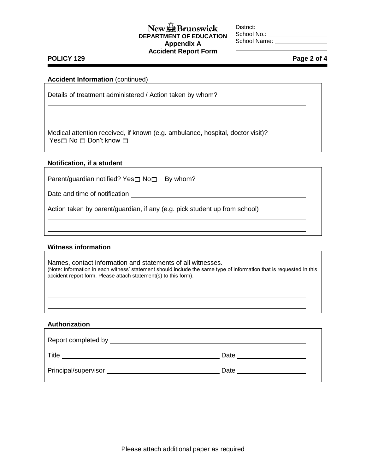## $New \bigoplus$  Brunswick **DEPARTMENT OF EDUCATION Appendix A Accident Report Form**

District: School No.:

School Name:

### **POLICY 129 Page 2 of 4**

### **Accident Information** (continued)

Details of treatment administered / Action taken by whom?

Medical attention received, if known (e.g. ambulance, hospital, doctor visit)? Yes $\square$  No  $\square$  Don't know  $\square$ 

### **Notification, if a student**

Parent/guardian notified? Yes $\square$  No $\square$  By whom?

Date and time of notification **contract that the contract of the contract of the contract of the contract of the contract of the contract of the contract of the contract of the contract of the contract of the contract of t** 

Action taken by parent/guardian, if any (e.g. pick student up from school)

### **Witness information**

Names, contact information and statements of all witnesses. (Note: Information in each witness' statement should include the same type of information that is requested in this accident report form. Please attach statement(s) to this form).

### **Authorization**

| Report completed by ___ |      |
|-------------------------|------|
| Title                   | Date |
| Principal/supervisor    | Date |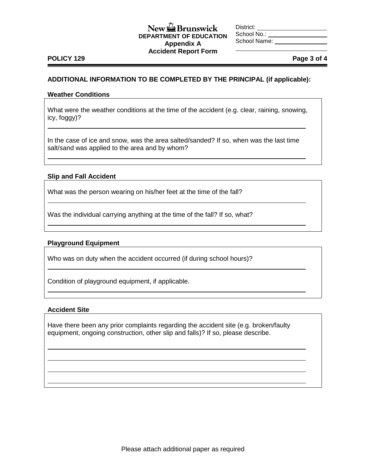### $New \bigoplus$  Brunswick **DEPARTMENT OF EDUCATION Appendix A Accident Report Form**

District: School No.: School Name:

# **POLICY 129 Page 3 of 4**

### **ADDITIONAL INFORMATION TO BE COMPLETED BY THE PRINCIPAL (if applicable):**

#### **Weather Conditions**

What were the weather conditions at the time of the accident (e.g. clear, raining, snowing, icy, foggy)?

In the case of ice and snow, was the area salted/sanded? If so, when was the last time salt/sand was applied to the area and by whom?

### **Slip and Fall Accident**

What was the person wearing on his/her feet at the time of the fall?

Was the individual carrying anything at the time of the fall? If so, what?

### **Playground Equipment**

Who was on duty when the accident occurred (if during school hours)?

Condition of playground equipment, if applicable.

### **Accident Site**

Have there been any prior complaints regarding the accident site (e.g. broken/faulty equipment, ongoing construction, other slip and falls)? If so, please describe.